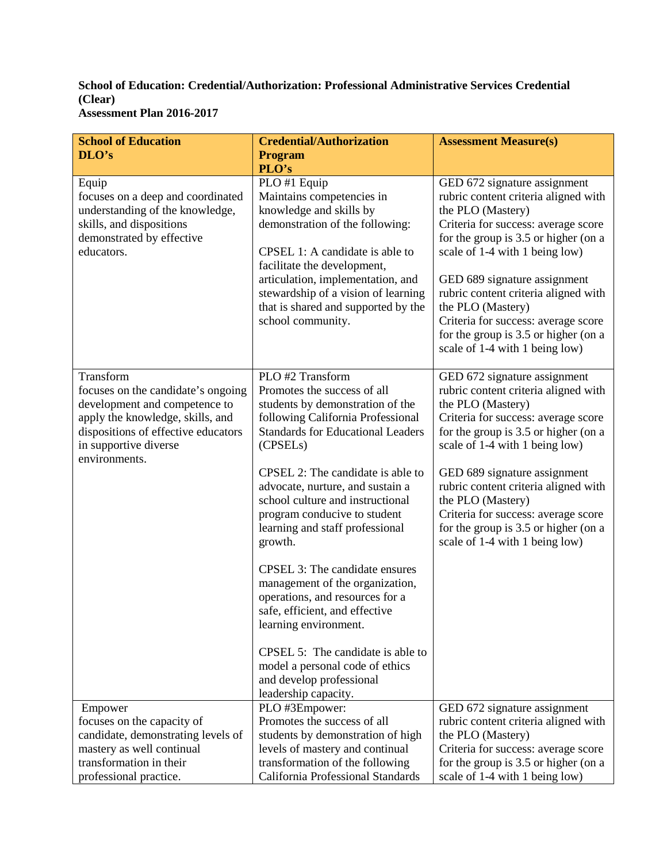## **School of Education: Credential/Authorization: Professional Administrative Services Credential (Clear) Assessment Plan 2016-2017**

| <b>School of Education</b>                                                                                                                                                                            | <b>Credential/Authorization</b>                                                                                                                                                                                                                                                                                                                                                                                                                                                                                                                                                                                                                                                         | <b>Assessment Measure(s)</b>                                                                                                                                                                                                                                                                                                                                                                                             |
|-------------------------------------------------------------------------------------------------------------------------------------------------------------------------------------------------------|-----------------------------------------------------------------------------------------------------------------------------------------------------------------------------------------------------------------------------------------------------------------------------------------------------------------------------------------------------------------------------------------------------------------------------------------------------------------------------------------------------------------------------------------------------------------------------------------------------------------------------------------------------------------------------------------|--------------------------------------------------------------------------------------------------------------------------------------------------------------------------------------------------------------------------------------------------------------------------------------------------------------------------------------------------------------------------------------------------------------------------|
| DLO's                                                                                                                                                                                                 | <b>Program</b>                                                                                                                                                                                                                                                                                                                                                                                                                                                                                                                                                                                                                                                                          |                                                                                                                                                                                                                                                                                                                                                                                                                          |
| Equip<br>focuses on a deep and coordinated<br>understanding of the knowledge,<br>skills, and dispositions<br>demonstrated by effective<br>educators.                                                  | PLO's<br>PLO #1 Equip<br>Maintains competencies in<br>knowledge and skills by<br>demonstration of the following:<br>CPSEL 1: A candidate is able to<br>facilitate the development,<br>articulation, implementation, and<br>stewardship of a vision of learning<br>that is shared and supported by the<br>school community.                                                                                                                                                                                                                                                                                                                                                              | GED 672 signature assignment<br>rubric content criteria aligned with<br>the PLO (Mastery)<br>Criteria for success: average score<br>for the group is 3.5 or higher (on a<br>scale of 1-4 with 1 being low)<br>GED 689 signature assignment<br>rubric content criteria aligned with<br>the PLO (Mastery)<br>Criteria for success: average score<br>for the group is 3.5 or higher (on a<br>scale of 1-4 with 1 being low) |
| Transform<br>focuses on the candidate's ongoing<br>development and competence to<br>apply the knowledge, skills, and<br>dispositions of effective educators<br>in supportive diverse<br>environments. | PLO #2 Transform<br>Promotes the success of all<br>students by demonstration of the<br>following California Professional<br><b>Standards for Educational Leaders</b><br>(CPSEL <sub>s</sub> )<br>CPSEL 2: The candidate is able to<br>advocate, nurture, and sustain a<br>school culture and instructional<br>program conducive to student<br>learning and staff professional<br>growth.<br>CPSEL 3: The candidate ensures<br>management of the organization,<br>operations, and resources for a<br>safe, efficient, and effective<br>learning environment.<br>CPSEL 5: The candidate is able to<br>model a personal code of ethics<br>and develop professional<br>leadership capacity. | GED 672 signature assignment<br>rubric content criteria aligned with<br>the PLO (Mastery)<br>Criteria for success: average score<br>for the group is 3.5 or higher (on a<br>scale of 1-4 with 1 being low)<br>GED 689 signature assignment<br>rubric content criteria aligned with<br>the PLO (Mastery)<br>Criteria for success: average score<br>for the group is 3.5 or higher (on a<br>scale of 1-4 with 1 being low) |
| Empower                                                                                                                                                                                               | PLO #3Empower:                                                                                                                                                                                                                                                                                                                                                                                                                                                                                                                                                                                                                                                                          | GED 672 signature assignment                                                                                                                                                                                                                                                                                                                                                                                             |
| focuses on the capacity of                                                                                                                                                                            | Promotes the success of all                                                                                                                                                                                                                                                                                                                                                                                                                                                                                                                                                                                                                                                             | rubric content criteria aligned with                                                                                                                                                                                                                                                                                                                                                                                     |
| candidate, demonstrating levels of                                                                                                                                                                    | students by demonstration of high                                                                                                                                                                                                                                                                                                                                                                                                                                                                                                                                                                                                                                                       | the PLO (Mastery)<br>Criteria for success: average score                                                                                                                                                                                                                                                                                                                                                                 |
| mastery as well continual<br>transformation in their                                                                                                                                                  | levels of mastery and continual<br>transformation of the following                                                                                                                                                                                                                                                                                                                                                                                                                                                                                                                                                                                                                      | for the group is 3.5 or higher (on a                                                                                                                                                                                                                                                                                                                                                                                     |
| professional practice.                                                                                                                                                                                | California Professional Standards                                                                                                                                                                                                                                                                                                                                                                                                                                                                                                                                                                                                                                                       | scale of 1-4 with 1 being low)                                                                                                                                                                                                                                                                                                                                                                                           |